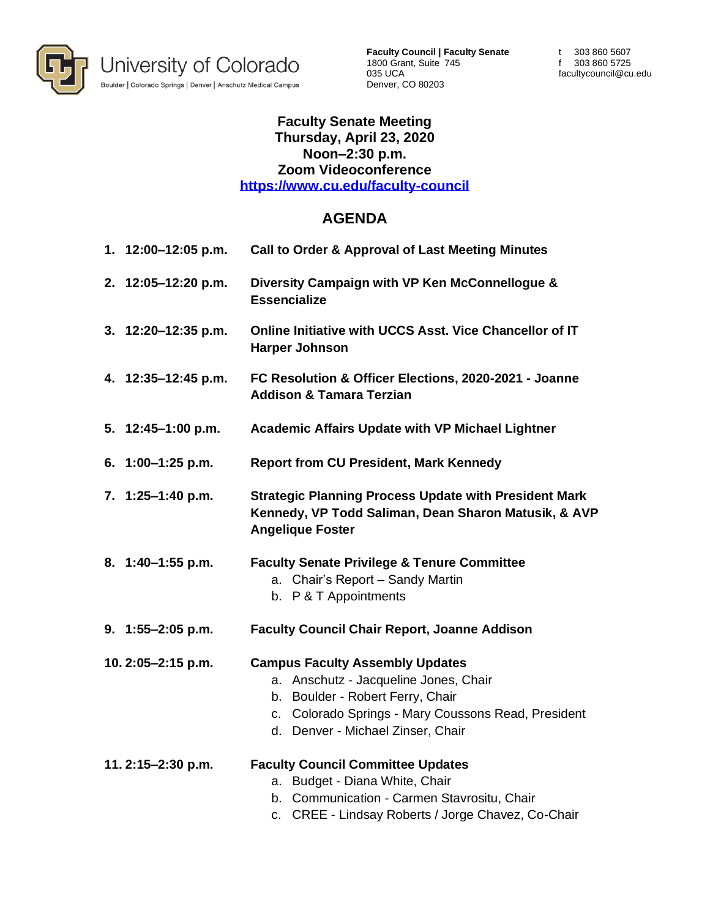

**Faculty Council | Faculty Senate** 1800 Grant, Suite 745 035 UCA Denver, CO 80203

t 303 860 5607 f 303 860 5725 facultycouncil@cu.edu

## **Faculty Senate Meeting Thursday, April 23, 2020 Noon–2:30 p.m. Zoom Videoconference <https://www.cu.edu/faculty-council>**

## **AGENDA**

| 1. 12:00-12:05 p.m. | <b>Call to Order &amp; Approval of Last Meeting Minutes</b>                                                                                                                                                        |
|---------------------|--------------------------------------------------------------------------------------------------------------------------------------------------------------------------------------------------------------------|
| 2. 12:05-12:20 p.m. | Diversity Campaign with VP Ken McConnellogue &<br><b>Essencialize</b>                                                                                                                                              |
| 3. 12:20-12:35 p.m. | Online Initiative with UCCS Asst. Vice Chancellor of IT<br><b>Harper Johnson</b>                                                                                                                                   |
| 4. 12:35-12:45 p.m. | FC Resolution & Officer Elections, 2020-2021 - Joanne<br><b>Addison &amp; Tamara Terzian</b>                                                                                                                       |
| 5. 12:45-1:00 p.m.  | <b>Academic Affairs Update with VP Michael Lightner</b>                                                                                                                                                            |
| 6. 1:00-1:25 p.m.   | <b>Report from CU President, Mark Kennedy</b>                                                                                                                                                                      |
| 7. 1:25-1:40 p.m.   | <b>Strategic Planning Process Update with President Mark</b><br>Kennedy, VP Todd Saliman, Dean Sharon Matusik, & AVP<br><b>Angelique Foster</b>                                                                    |
| 8. 1:40-1:55 p.m.   | <b>Faculty Senate Privilege &amp; Tenure Committee</b><br>a. Chair's Report - Sandy Martin<br>b. P & T Appointments                                                                                                |
| $9.1:55-2:05 p.m.$  | <b>Faculty Council Chair Report, Joanne Addison</b>                                                                                                                                                                |
| 10.2:05-2:15 p.m.   | <b>Campus Faculty Assembly Updates</b><br>Anschutz - Jacqueline Jones, Chair<br>a.<br>b. Boulder - Robert Ferry, Chair<br>c. Colorado Springs - Mary Coussons Read, President<br>d. Denver - Michael Zinser, Chair |
| 11.2:15-2:30 p.m.   | <b>Faculty Council Committee Updates</b><br>a. Budget - Diana White, Chair<br>b. Communication - Carmen Stavrositu, Chair<br>c. CREE - Lindsay Roberts / Jorge Chavez, Co-Chair                                    |